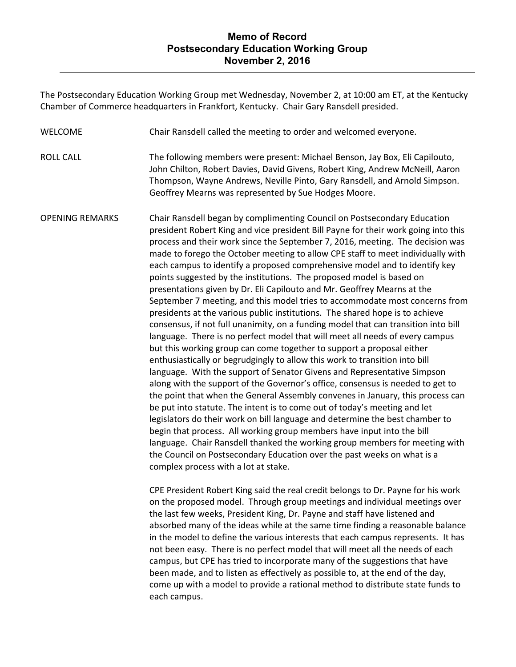The Postsecondary Education Working Group met Wednesday, November 2, at 10:00 am ET, at the Kentucky Chamber of Commerce headquarters in Frankfort, Kentucky. Chair Gary Ransdell presided.

WELCOME Chair Ransdell called the meeting to order and welcomed everyone.

ROLL CALL The following members were present: Michael Benson, Jay Box, Eli Capilouto, John Chilton, Robert Davies, David Givens, Robert King, Andrew McNeill, Aaron Thompson, Wayne Andrews, Neville Pinto, Gary Ransdell, and Arnold Simpson. Geoffrey Mearns was represented by Sue Hodges Moore.

OPENING REMARKS Chair Ransdell began by complimenting Council on Postsecondary Education president Robert King and vice president Bill Payne for their work going into this process and their work since the September 7, 2016, meeting. The decision was made to forego the October meeting to allow CPE staff to meet individually with each campus to identify a proposed comprehensive model and to identify key points suggested by the institutions. The proposed model is based on presentations given by Dr. Eli Capilouto and Mr. Geoffrey Mearns at the September 7 meeting, and this model tries to accommodate most concerns from presidents at the various public institutions. The shared hope is to achieve consensus, if not full unanimity, on a funding model that can transition into bill language. There is no perfect model that will meet all needs of every campus but this working group can come together to support a proposal either enthusiastically or begrudgingly to allow this work to transition into bill language. With the support of Senator Givens and Representative Simpson along with the support of the Governor's office, consensus is needed to get to the point that when the General Assembly convenes in January, this process can be put into statute. The intent is to come out of today's meeting and let legislators do their work on bill language and determine the best chamber to begin that process. All working group members have input into the bill language. Chair Ransdell thanked the working group members for meeting with the Council on Postsecondary Education over the past weeks on what is a complex process with a lot at stake.

> CPE President Robert King said the real credit belongs to Dr. Payne for his work on the proposed model. Through group meetings and individual meetings over the last few weeks, President King, Dr. Payne and staff have listened and absorbed many of the ideas while at the same time finding a reasonable balance in the model to define the various interests that each campus represents. It has not been easy. There is no perfect model that will meet all the needs of each campus, but CPE has tried to incorporate many of the suggestions that have been made, and to listen as effectively as possible to, at the end of the day, come up with a model to provide a rational method to distribute state funds to each campus.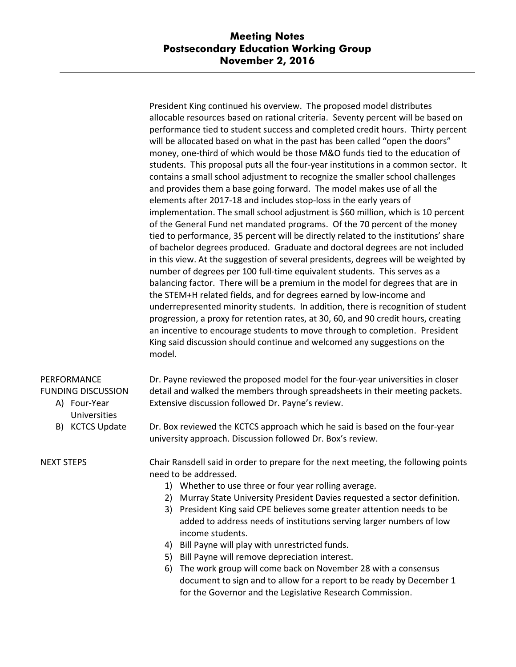President King continued his overview. The proposed model distributes allocable resources based on rational criteria. Seventy percent will be based on performance tied to student success and completed credit hours. Thirty percent will be allocated based on what in the past has been called "open the doors" money, one-third of which would be those M&O funds tied to the education of students. This proposal puts all the four-year institutions in a common sector. It contains a small school adjustment to recognize the smaller school challenges and provides them a base going forward. The model makes use of all the elements after 2017-18 and includes stop-loss in the early years of implementation. The small school adjustment is \$60 million, which is 10 percent of the General Fund net mandated programs. Of the 70 percent of the money tied to performance, 35 percent will be directly related to the institutions' share of bachelor degrees produced. Graduate and doctoral degrees are not included in this view. At the suggestion of several presidents, degrees will be weighted by number of degrees per 100 full-time equivalent students. This serves as a balancing factor. There will be a premium in the model for degrees that are in the STEM+H related fields, and for degrees earned by low-income and underrepresented minority students. In addition, there is recognition of student progression, a proxy for retention rates, at 30, 60, and 90 credit hours, creating an incentive to encourage students to move through to completion. President King said discussion should continue and welcomed any suggestions on the model.

## PERFORMANCE FUNDING DISCUSSION

- A) Four-Year Universities
- B) KCTCS Update

NEXT STEPS

Dr. Payne reviewed the proposed model for the four-year universities in closer detail and walked the members through spreadsheets in their meeting packets. Extensive discussion followed Dr. Payne's review.

Dr. Box reviewed the KCTCS approach which he said is based on the four-year university approach. Discussion followed Dr. Box's review.

Chair Ransdell said in order to prepare for the next meeting, the following points need to be addressed.

- 1) Whether to use three or four year rolling average.
- 2) Murray State University President Davies requested a sector definition.
- 3) President King said CPE believes some greater attention needs to be added to address needs of institutions serving larger numbers of low income students.
- 4) Bill Payne will play with unrestricted funds.
- 5) Bill Payne will remove depreciation interest.
- 6) The work group will come back on November 28 with a consensus document to sign and to allow for a report to be ready by December 1 for the Governor and the Legislative Research Commission.